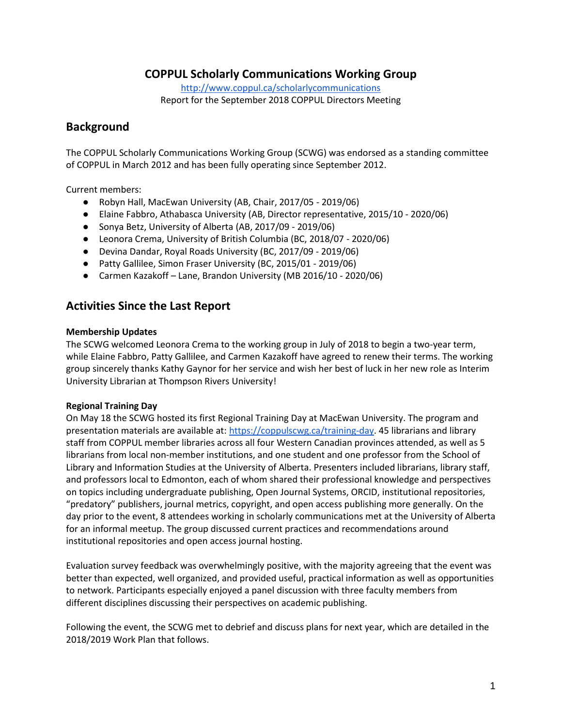## **COPPUL Scholarly Communications Working Group**

<http://www.coppul.ca/scholarlycommunications> Report for the September 2018 COPPUL Directors Meeting

### **Background**

The COPPUL Scholarly Communications Working Group (SCWG) was endorsed as a standing committee of COPPUL in March 2012 and has been fully operating since September 2012.

Current members:

- Robyn Hall, MacEwan University (AB, Chair, 2017/05 2019/06)
- Elaine Fabbro, Athabasca University (AB, Director representative, 2015/10 2020/06)
- Sonya Betz, University of Alberta (AB, 2017/09 2019/06)
- Leonora Crema, University of British Columbia (BC, 2018/07 2020/06)
- Devina Dandar, Royal Roads University (BC, 2017/09 2019/06)
- Patty Gallilee, Simon Fraser University (BC, 2015/01 2019/06)
- Carmen Kazakoff Lane, Brandon University (MB 2016/10 2020/06)

## **Activities Since the Last Report**

#### **Membership Updates**

The SCWG welcomed Leonora Crema to the working group in July of 2018 to begin a two-year term, while Elaine Fabbro, Patty Gallilee, and Carmen Kazakoff have agreed to renew their terms. The working group sincerely thanks Kathy Gaynor for her service and wish her best of luck in her new role as Interim University Librarian at Thompson Rivers University!

#### **Regional Training Day**

On May 18 the SCWG hosted its first Regional Training Day at MacEwan University. The program and presentation materials are available at[: https://coppulscwg.ca/training-day.](https://coppulscwg.ca/training-day) 45 librarians and library staff from COPPUL member libraries across all four Western Canadian provinces attended, as well as 5 librarians from local non-member institutions, and one student and one professor from the School of Library and Information Studies at the University of Alberta. Presenters included librarians, library staff, and professors local to Edmonton, each of whom shared their professional knowledge and perspectives on topics including undergraduate publishing, Open Journal Systems, ORCID, institutional repositories, "predatory" publishers, journal metrics, copyright, and open access publishing more generally. On the day prior to the event, 8 attendees working in scholarly communications met at the University of Alberta for an informal meetup. The group discussed current practices and recommendations around institutional repositories and open access journal hosting.

Evaluation survey feedback was overwhelmingly positive, with the majority agreeing that the event was better than expected, well organized, and provided useful, practical information as well as opportunities to network. Participants especially enjoyed a panel discussion with three faculty members from different disciplines discussing their perspectives on academic publishing.

Following the event, the SCWG met to debrief and discuss plans for next year, which are detailed in the 2018/2019 Work Plan that follows.